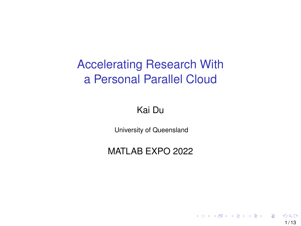## Accelerating Research With a Personal Parallel Cloud

#### Kai Du

University of Queensland

#### MATLAB EXPO 2022

 $1/13$ 

 $209$ 

 $\left\{ \begin{array}{ccc} \square & \rightarrow & \left\langle \bigoplus \gamma & \vee \gamma \equiv \gamma & \vee \exists \gamma \end{array} \right. \right.$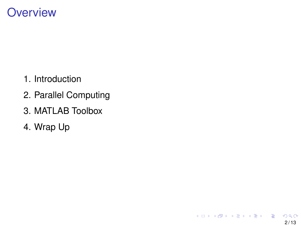### **Overview**

- 1. Introduction
- 2. Parallel Computing
- 3. MATLAB Toolbox
- 4. Wrap Up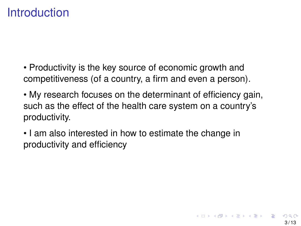## **Introduction**

- Productivity is the key source of economic growth and competitiveness (of a country, a firm and even a person).
- My research focuses on the determinant of efficiency gain, such as the effect of the health care system on a country's productivity.
- I am also interested in how to estimate the change in productivity and efficiency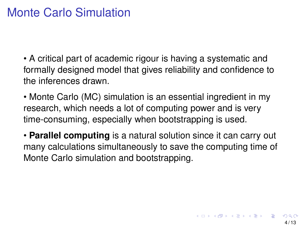## Monte Carlo Simulation

• A critical part of academic rigour is having a systematic and formally designed model that gives reliability and confidence to the inferences drawn.

• Monte Carlo (MC) simulation is an essential ingredient in my research, which needs a lot of computing power and is very time-consuming, especially when bootstrapping is used.

• **Parallel computing** is a natural solution since it can carry out many calculations simultaneously to save the computing time of Monte Carlo simulation and bootstrapping.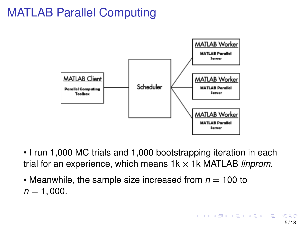## MATLAB Parallel Computing



- I run 1,000 MC trials and 1,000 bootstrapping iteration in each trial for an experience, which means  $1k \times 1k$  MATLAB *linprom*.
- Meanwhile, the sample size increased from  $n = 100$  to  $n = 1,000$ .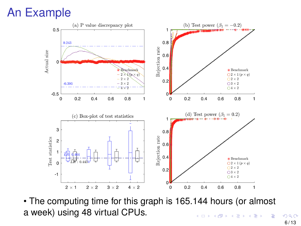## An Example



• The computing time for this graph is 165.144 hours (or almost a week) using 48 virtual CPUs.  $($  ロ )  $($   $($  $)$   $)$   $($   $)$   $($   $)$   $($   $)$   $($   $)$   $($   $)$   $($   $)$   $($   $)$   $($   $)$   $($   $)$   $($   $)$   $($   $)$   $($   $)$   $($   $)$   $($   $)$   $($   $)$   $($   $)$   $($   $)$   $($   $)$   $($   $)$   $($   $)$   $($   $)$   $($   $)$   $($   $)$   $($   $)$   $($   $)$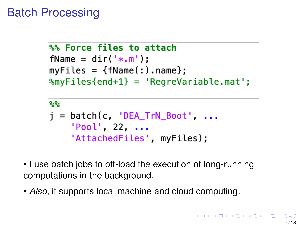## Batch Processing

```
%% Force files to attach
fName = dir('*.m'):
myFiles = {fName(:).name}%myFiles{end+1} = 'RegreVariable.mat';
```

```
್ದಿಷ್ಠಿ
j = batch(c, 'DEA_TrN_Boot', ...'Pool', 22, ...'AttachedFiles', myFiles);
```
- I use batch jobs to off-load the execution of long-running computations in the background.
- *Also*, it supports local machine and cloud computing.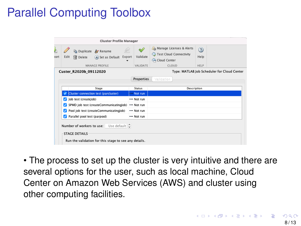# Parallel Computing Toolbox

|                                                                                                                                     | <b>Cluster Profile Manager</b>         |                                                        |                                      |        |                             |                                                                                 |                                    |  |  |
|-------------------------------------------------------------------------------------------------------------------------------------|----------------------------------------|--------------------------------------------------------|--------------------------------------|--------|-----------------------------|---------------------------------------------------------------------------------|------------------------------------|--|--|
| <b>ort</b>                                                                                                                          | Edit                                   | <b>Ga</b> Duplicate <b>A</b> Rename<br><b>T</b> Delete | (+) Set as Default<br>MANAGE PROFILE | Export | Validate<br><b>VALIDATE</b> | an Manage Licenses & Alerts<br>Test Cloud Connectivity<br>Cloud Center<br>CLOUD | $\circledR$<br>Help<br><b>HFIP</b> |  |  |
| Type: MATLAB Job Scheduler for Cloud Center<br>Custer_R2020b_09112020                                                               |                                        |                                                        |                                      |        |                             |                                                                                 |                                    |  |  |
|                                                                                                                                     |                                        |                                                        |                                      |        | <b>Properties</b>           | Validation                                                                      |                                    |  |  |
|                                                                                                                                     |                                        | Stage                                                  |                                      |        | <b>Status</b>               |                                                                                 | Description                        |  |  |
|                                                                                                                                     | Cluster connection test (parcluster)   |                                                        |                                      |        | - Not run                   |                                                                                 |                                    |  |  |
|                                                                                                                                     | Job test (createJob)                   |                                                        |                                      |        | --- Not run                 |                                                                                 |                                    |  |  |
|                                                                                                                                     | SPMD job test (createCommunicatingJob) |                                                        |                                      |        | --- Not run                 |                                                                                 |                                    |  |  |
|                                                                                                                                     | Pool job test (createCommunicatingJob) |                                                        |                                      |        | --- Not run                 |                                                                                 |                                    |  |  |
|                                                                                                                                     | Parallel pool test (parpool)           |                                                        |                                      |        | --- Not run                 |                                                                                 |                                    |  |  |
| Use default $\hat{C}$<br>Number of workers to use:<br><b>STAGE DETAILS</b><br>Run the validation for this stage to see any details. |                                        |                                                        |                                      |        |                             |                                                                                 |                                    |  |  |

• The process to set up the cluster is very intuitive and there are several options for the user, such as local machine, Cloud Center on Amazon Web Services (AWS) and cluster using other computing facilities.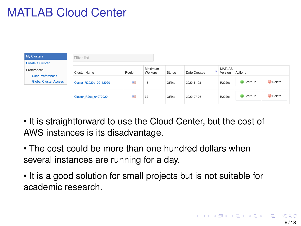# MATLAB Cloud Center



- It is straightforward to use the Cloud Center, but the cost of AWS instances is its disadvantage.
- The cost could be more than one hundred dollars when several instances are running for a day.
- It is a good solution for small projects but is not suitable for academic research.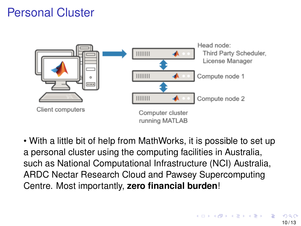## Personal Cluster



• With a little bit of help from MathWorks, it is possible to set up a personal cluster using the computing facilities in Australia, such as National Computational Infrastructure (NCI) Australia, ARDC Nectar Research Cloud and Pawsey Supercomputing Centre. Most importantly, **zero financial burden**!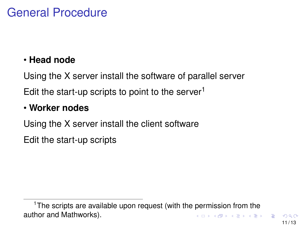## General Procedure

#### • **Head node**

Using the X server install the software of parallel server Edit the start-up scripts to point to the server $1$ 

#### • **Worker nodes**

Using the X server install the client software

Edit the start-up scripts

 $1$ The scripts are available upon request (with the permission from the author and Mathworks).  $\mathbf{A} \oplus \mathbf{A} \rightarrow \mathbf{A} \oplus \mathbf{A} \rightarrow \mathbf{A} \oplus \mathbf{A} \rightarrow \mathbf{A} \oplus \mathbf{A}$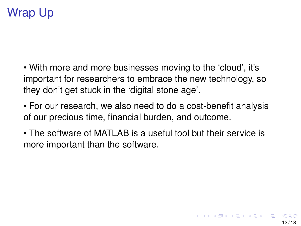# Wrap Up

• With more and more businesses moving to the 'cloud', it's important for researchers to embrace the new technology, so they don't get stuck in the 'digital stone age'.

• For our research, we also need to do a cost-benefit analysis of our precious time, financial burden, and outcome.

• The software of MATLAB is a useful tool but their service is more important than the software.